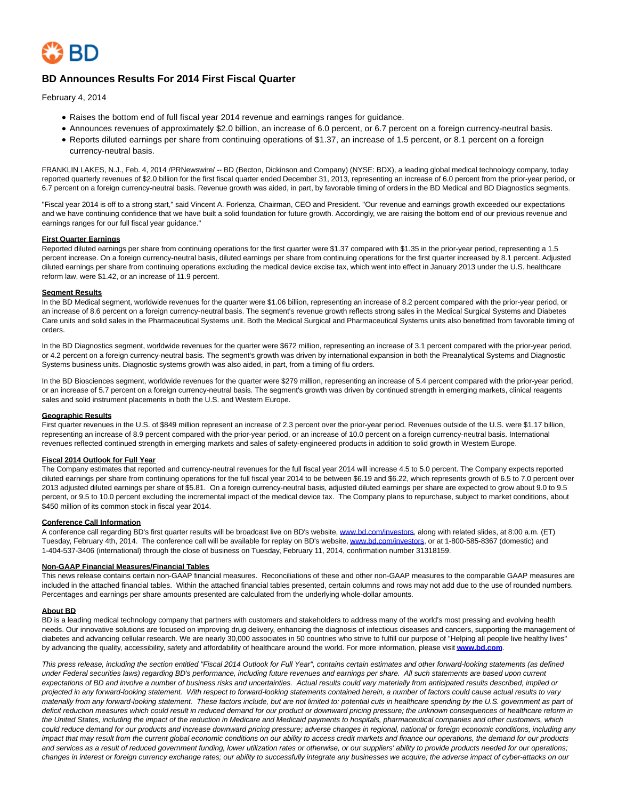

# **BD Announces Results For 2014 First Fiscal Quarter**

February 4, 2014

- Raises the bottom end of full fiscal year 2014 revenue and earnings ranges for guidance.
- Announces revenues of approximately \$2.0 billion, an increase of 6.0 percent, or 6.7 percent on a foreign currency-neutral basis.
- Reports diluted earnings per share from continuing operations of \$1.37, an increase of 1.5 percent, or 8.1 percent on a foreign currency-neutral basis.

FRANKLIN LAKES, N.J., Feb. 4, 2014 /PRNewswire/ -- BD (Becton, Dickinson and Company) (NYSE: BDX), a leading global medical technology company, today reported quarterly revenues of \$2.0 billion for the first fiscal quarter ended December 31, 2013, representing an increase of 6.0 percent from the prior-year period, or 6.7 percent on a foreign currency-neutral basis. Revenue growth was aided, in part, by favorable timing of orders in the BD Medical and BD Diagnostics segments.

"Fiscal year 2014 is off to a strong start," said Vincent A. Forlenza, Chairman, CEO and President. "Our revenue and earnings growth exceeded our expectations and we have continuing confidence that we have built a solid foundation for future growth. Accordingly, we are raising the bottom end of our previous revenue and earnings ranges for our full fiscal year guidance."

#### **First Quarter Earnings**

Reported diluted earnings per share from continuing operations for the first quarter were \$1.37 compared with \$1.35 in the prior-year period, representing a 1.5 percent increase. On a foreign currency-neutral basis, diluted earnings per share from continuing operations for the first quarter increased by 8.1 percent. Adjusted diluted earnings per share from continuing operations excluding the medical device excise tax, which went into effect in January 2013 under the U.S. healthcare reform law, were \$1.42, or an increase of 11.9 percent.

#### **Segment Results**

In the BD Medical segment, worldwide revenues for the quarter were \$1.06 billion, representing an increase of 8.2 percent compared with the prior-year period, or an increase of 8.6 percent on a foreign currency-neutral basis. The segment's revenue growth reflects strong sales in the Medical Surgical Systems and Diabetes Care units and solid sales in the Pharmaceutical Systems unit. Both the Medical Surgical and Pharmaceutical Systems units also benefitted from favorable timing of orders.

In the BD Diagnostics segment, worldwide revenues for the quarter were \$672 million, representing an increase of 3.1 percent compared with the prior-year period, or 4.2 percent on a foreign currency-neutral basis. The segment's growth was driven by international expansion in both the Preanalytical Systems and Diagnostic Systems business units. Diagnostic systems growth was also aided, in part, from a timing of flu orders.

In the BD Biosciences segment, worldwide revenues for the quarter were \$279 million, representing an increase of 5.4 percent compared with the prior-year period, or an increase of 5.7 percent on a foreign currency-neutral basis. The segment's growth was driven by continued strength in emerging markets, clinical reagents sales and solid instrument placements in both the U.S. and Western Europe.

### **Geographic Results**

First quarter revenues in the U.S. of \$849 million represent an increase of 2.3 percent over the prior-year period. Revenues outside of the U.S. were \$1.17 billion, representing an increase of 8.9 percent compared with the prior-year period, or an increase of 10.0 percent on a foreign currency-neutral basis. International revenues reflected continued strength in emerging markets and sales of safety-engineered products in addition to solid growth in Western Europe.

#### **Fiscal 2014 Outlook for Full Year**

The Company estimates that reported and currency-neutral revenues for the full fiscal year 2014 will increase 4.5 to 5.0 percent. The Company expects reported diluted earnings per share from continuing operations for the full fiscal year 2014 to be between \$6.19 and \$6.22, which represents growth of 6.5 to 7.0 percent over 2013 adjusted diluted earnings per share of \$5.81. On a foreign currency-neutral basis, adjusted diluted earnings per share are expected to grow about 9.0 to 9.5 percent, or 9.5 to 10.0 percent excluding the incremental impact of the medical device tax. The Company plans to repurchase, subject to market conditions, about \$450 million of its common stock in fiscal year 2014.

#### **Conference Call Information**

A conference call regarding BD's first quarter results will be broadcast live on BD's website[, www.bd.com/investors,](http://www.bd.com/investors) along with related slides, at 8:00 a.m. (ET) Tuesday, February 4th, 2014. The conference call will be available for replay on BD's website[, www.bd.com/investors,](http://www.bd.com/investors) or at 1-800-585-8367 (domestic) and 1-404-537-3406 (international) through the close of business on Tuesday, February 11, 2014, confirmation number 31318159.

#### **Non-GAAP Financial Measures/Financial Tables**

This news release contains certain non-GAAP financial measures. Reconciliations of these and other non-GAAP measures to the comparable GAAP measures are included in the attached financial tables. Within the attached financial tables presented, certain columns and rows may not add due to the use of rounded numbers. Percentages and earnings per share amounts presented are calculated from the underlying whole-dollar amounts.

#### **About BD**

BD is a leading medical technology company that partners with customers and stakeholders to address many of the world's most pressing and evolving health needs. Our innovative solutions are focused on improving drug delivery, enhancing the diagnosis of infectious diseases and cancers, supporting the management of diabetes and advancing cellular research. We are nearly 30,000 associates in 50 countries who strive to fulfill our purpose of "Helping all people live healthy lives" by advancing the quality, accessibility, safety and affordability of healthcare around the world. For more information, please visit **[www.bd.com](http://www.bd.com/)**.

This press release, including the section entitled "Fiscal 2014 Outlook for Full Year", contains certain estimates and other forward-looking statements (as defined under Federal securities laws) regarding BD's performance, including future revenues and earnings per share. All such statements are based upon current expectations of BD and involve a number of business risks and uncertainties. Actual results could vary materially from anticipated results described, implied or projected in any forward-looking statement. With respect to forward-looking statements contained herein, a number of factors could cause actual results to vary materially from any forward-looking statement. These factors include, but are not limited to: potential cuts in healthcare spending by the U.S. government as part of deficit reduction measures which could result in reduced demand for our product or downward pricing pressure; the unknown consequences of healthcare reform in the United States, including the impact of the reduction in Medicare and Medicaid payments to hospitals, pharmaceutical companies and other customers, which could reduce demand for our products and increase downward pricing pressure; adverse changes in regional, national or foreign economic conditions, including any impact that may result from the current global economic conditions on our ability to access credit markets and finance our operations, the demand for our products and services as a result of reduced government funding, lower utilization rates or otherwise, or our suppliers' ability to provide products needed for our operations; changes in interest or foreign currency exchange rates; our ability to successfully integrate any businesses we acquire; the adverse impact of cyber-attacks on our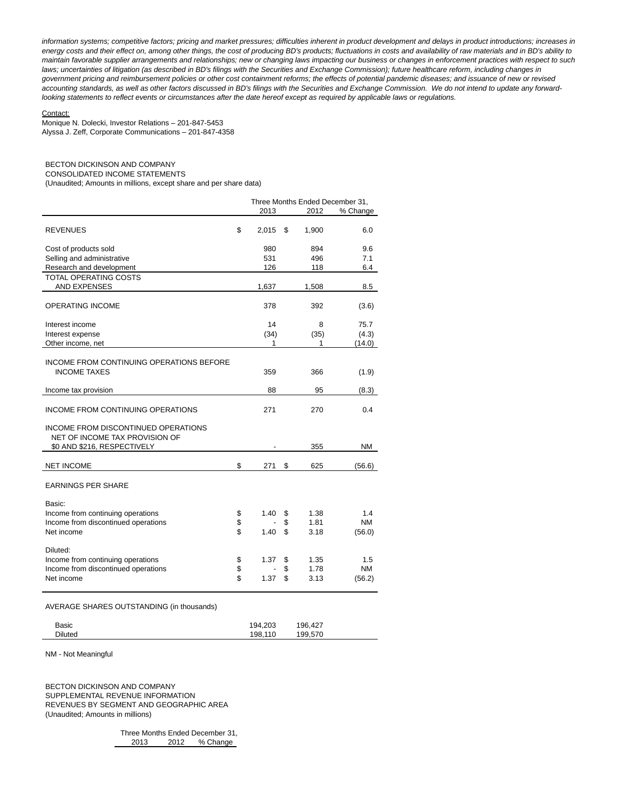information systems; competitive factors; pricing and market pressures; difficulties inherent in product development and delays in product introductions; increases in energy costs and their effect on, among other things, the cost of producing BD's products; fluctuations in costs and availability of raw materials and in BD's ability to maintain favorable supplier arrangements and relationships; new or changing laws impacting our business or changes in enforcement practices with respect to such laws; uncertainties of litigation (as described in BD's filings with the Securities and Exchange Commission); future healthcare reform, including changes in government pricing and reimbursement policies or other cost containment reforms; the effects of potential pandemic diseases; and issuance of new or revised accounting standards, as well as other factors discussed in BD's filings with the Securities and Exchange Commission. We do not intend to update any forwardlooking statements to reflect events or circumstances after the date hereof except as required by applicable laws or regulations.

#### Contact:

Monique N. Dolecki, Investor Relations – 201-847-5453 Alyssa J. Zeff, Corporate Communications – 201-847-4358

# BECTON DICKINSON AND COMPANY

CONSOLIDATED INCOME STATEMENTS

(Unaudited; Amounts in millions, except share and per share data)

|                                                                                                      | Three Months Ended December 31, |              |                |                      |                            |  |  |
|------------------------------------------------------------------------------------------------------|---------------------------------|--------------|----------------|----------------------|----------------------------|--|--|
|                                                                                                      |                                 | 2013         |                | 2012                 | % Change                   |  |  |
| <b>REVENUES</b>                                                                                      | \$                              | 2,015        | \$             | 1,900                | 6.0                        |  |  |
| Cost of products sold                                                                                |                                 | 980          |                | 894                  | 9.6                        |  |  |
| Selling and administrative                                                                           |                                 | 531          |                | 496                  | 7.1                        |  |  |
| Research and development                                                                             |                                 | 126          |                | 118                  | 6.4                        |  |  |
| TOTAL OPERATING COSTS<br><b>AND EXPENSES</b>                                                         |                                 | 1,637        |                | 1,508                | 8.5                        |  |  |
| <b>OPERATING INCOME</b>                                                                              |                                 | 378          |                | 392                  | (3.6)                      |  |  |
| Interest income                                                                                      |                                 | 14           |                | 8                    | 75.7                       |  |  |
| Interest expense                                                                                     |                                 | (34)         |                | (35)                 | (4.3)                      |  |  |
| Other income, net                                                                                    |                                 | 1            |                | 1                    | (14.0)                     |  |  |
| INCOME FROM CONTINUING OPERATIONS BEFORE<br><b>INCOME TAXES</b>                                      |                                 | 359          |                | 366                  | (1.9)                      |  |  |
| Income tax provision                                                                                 |                                 | 88           |                | 95                   | (8.3)                      |  |  |
| INCOME FROM CONTINUING OPERATIONS                                                                    |                                 | 271          |                | 270                  | 0.4                        |  |  |
| INCOME FROM DISCONTINUED OPERATIONS<br>NET OF INCOME TAX PROVISION OF<br>\$0 AND \$216, RESPECTIVELY |                                 |              |                | 355                  | <b>NM</b>                  |  |  |
| <b>NET INCOME</b>                                                                                    | \$                              | 271          | \$             | 625                  | (56.6)                     |  |  |
| EARNINGS PER SHARE                                                                                   |                                 |              |                |                      |                            |  |  |
| Basic:<br>Income from continuing operations<br>Income from discontinued operations<br>Net income     | \$<br>\$<br>\$                  | 1.40<br>1.40 | \$<br>\$<br>\$ | 1.38<br>1.81<br>3.18 | 1.4<br><b>NM</b><br>(56.0) |  |  |
| Diluted:<br>Income from continuing operations<br>Income from discontinued operations<br>Net income   | \$<br>\$<br>\$                  | 1.37<br>1.37 | \$<br>\$<br>\$ | 1.35<br>1.78<br>3.13 | 1.5<br>NΜ<br>(56.2)        |  |  |

AVERAGE SHARES OUTSTANDING (in thousands)

| Basic          | 194.203 | 196.427 |  |
|----------------|---------|---------|--|
| <b>Diluted</b> | 198.110 | 199.570 |  |
|                |         |         |  |

NM - Not Meaningful

BECTON DICKINSON AND COMPANY SUPPLEMENTAL REVENUE INFORMATION REVENUES BY SEGMENT AND GEOGRAPHIC AREA (Unaudited; Amounts in millions)

> Three Months Ended December 31, 2013 2012 % Change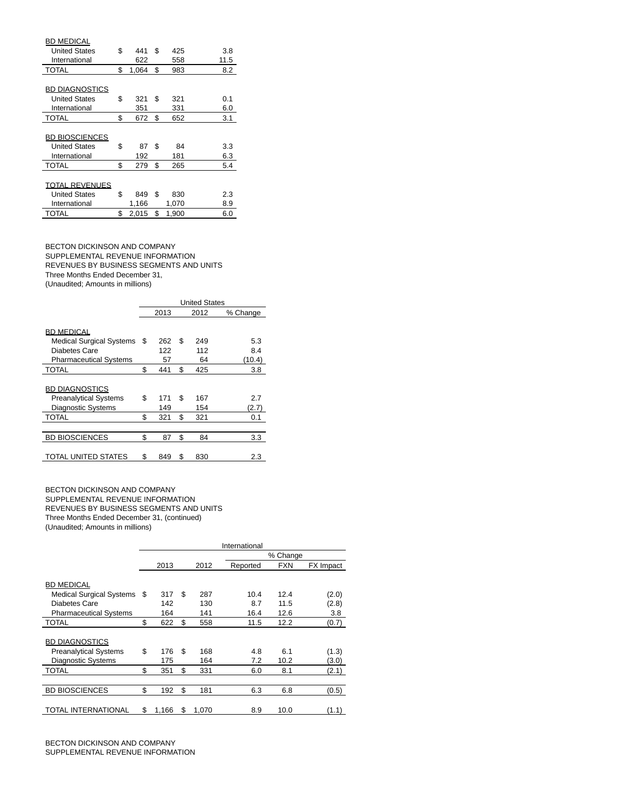| <b>BD MEDICAL</b>     |             |             |      |
|-----------------------|-------------|-------------|------|
| <b>United States</b>  | \$<br>441   | \$<br>425   | 3.8  |
| International         | 622         | 558         | 11.5 |
| <b>TOTAL</b>          | \$<br>1,064 | \$<br>983   | 8.2  |
|                       |             |             |      |
| <b>BD DIAGNOSTICS</b> |             |             |      |
| <b>United States</b>  | \$<br>321   | \$<br>321   | 0.1  |
| International         | 351         | 331         | 6.0  |
| <b>TOTAL</b>          | \$<br>672   | \$<br>652   | 3.1  |
|                       |             |             |      |
| <b>BD BIOSCIENCES</b> |             |             |      |
| <b>United States</b>  | \$<br>87    | \$<br>84    | 3.3  |
| International         | 192         | 181         | 6.3  |
| TOTAL                 | \$<br>279   | \$<br>265   | 5.4  |
|                       |             |             |      |
| TOTAL REVENUES        |             |             |      |
| <b>United States</b>  | \$<br>849   | \$<br>830   | 2.3  |
| International         | 1,166       | 1,070       | 8.9  |
| TOTAL                 | \$<br>2.015 | \$<br>1,900 | 6.0  |

BECTON DICKINSON AND COMPANY SUPPLEMENTAL REVENUE INFORMATION REVENUES BY BUSINESS SEGMENTS AND UNITS Three Months Ended December 31, (Unaudited; Amounts in millions)

|                                 | <b>United States</b> |      |    |          |        |  |  |  |  |  |
|---------------------------------|----------------------|------|----|----------|--------|--|--|--|--|--|
|                                 |                      | 2013 |    | % Change |        |  |  |  |  |  |
| <b>BD MEDICAL</b>               |                      |      |    |          |        |  |  |  |  |  |
| <b>Medical Surgical Systems</b> | \$                   | 262  | \$ | 249      | 5.3    |  |  |  |  |  |
| Diabetes Care                   |                      | 122  |    | 112      | 8.4    |  |  |  |  |  |
| <b>Pharmaceutical Systems</b>   |                      | 57   |    | 64       | (10.4) |  |  |  |  |  |
| <b>TOTAL</b>                    | \$                   | 441  | \$ | 425      | 3.8    |  |  |  |  |  |
| <b>BD DIAGNOSTICS</b>           |                      |      |    |          |        |  |  |  |  |  |
| <b>Preanalytical Systems</b>    | \$                   | 171  | \$ | 167      | 2.7    |  |  |  |  |  |
| <b>Diagnostic Systems</b>       |                      | 149  |    | 154      | (2.7)  |  |  |  |  |  |
| <b>TOTAL</b>                    | \$                   | 321  | \$ | 321      | 0.1    |  |  |  |  |  |
|                                 |                      |      |    |          |        |  |  |  |  |  |
| <b>BD BIOSCIENCES</b>           | \$                   | 87   | \$ | 84       | 3.3    |  |  |  |  |  |
|                                 |                      |      |    |          |        |  |  |  |  |  |
| TOTAL UNITED STATES             | \$                   | 849  | \$ | 830      | 2.3    |  |  |  |  |  |

BECTON DICKINSON AND COMPANY SUPPLEMENTAL REVENUE INFORMATION REVENUES BY BUSINESS SEGMENTS AND UNITS Three Months Ended December 31, (continued) (Unaudited; Amounts in millions)

|                                 |    |          |             | International |      |                  |
|---------------------------------|----|----------|-------------|---------------|------|------------------|
|                                 |    | % Change |             |               |      |                  |
|                                 |    | 2013     | 2012        | Reported      | FXN  | <b>FX</b> Impact |
|                                 |    |          |             |               |      |                  |
| <b>BD MEDICAL</b>               |    |          |             |               |      |                  |
| <b>Medical Surgical Systems</b> | S  | 317      | \$<br>287   | 10.4          | 12.4 | (2.0)            |
| Diabetes Care                   |    | 142      | 130         | 8.7           | 11.5 | (2.8)            |
| <b>Pharmaceutical Systems</b>   |    | 164      | 141         | 16.4          | 12.6 | 3.8              |
| TOTAL                           | \$ | 622      | \$<br>558   | 11.5          | 12.2 | (0.7)            |
|                                 |    |          |             |               |      |                  |
| <b>BD DIAGNOSTICS</b>           |    |          |             |               |      |                  |
| <b>Preanalytical Systems</b>    | \$ | 176      | \$<br>168   | 4.8           | 6.1  | (1.3)            |
| <b>Diagnostic Systems</b>       |    | 175      | 164         | 7.2           | 10.2 | (3.0)            |
| TOTAL                           | \$ | 351      | \$<br>331   | 6.0           | 8.1  | (2.1)            |
|                                 |    |          |             |               |      |                  |
| <b>BD BIOSCIENCES</b>           | \$ | 192      | \$<br>181   | 6.3           | 6.8  | (0.5)            |
|                                 |    |          |             |               |      |                  |
| TOTAL INTERNATIONAL             | \$ | 1,166    | \$<br>1,070 | 8.9           | 10.0 | (1.1)            |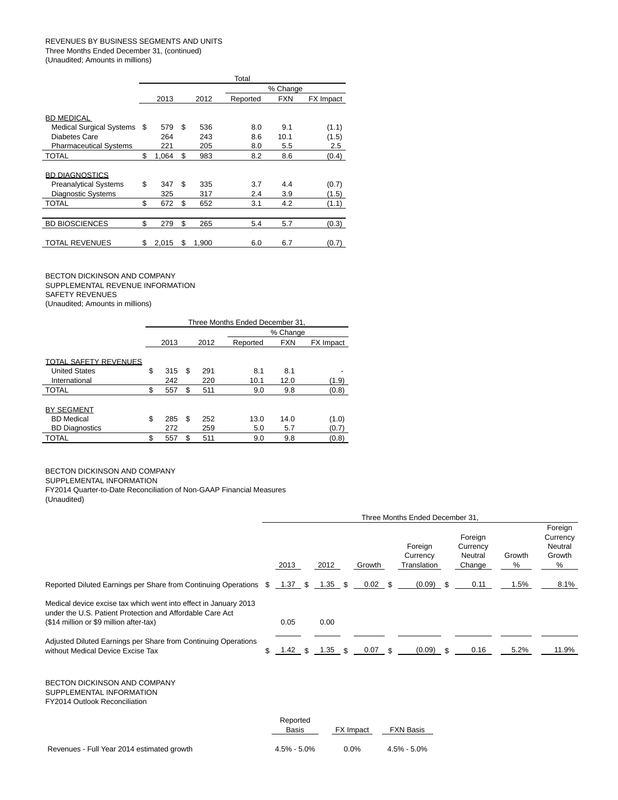### REVENUES BY BUSINESS SEGMENTS AND UNITS

Three Months Ended December 31, (continued)

(Unaudited; Amounts in millions)

|                                 | Total    |       |    |       |          |            |           |  |  |  |
|---------------------------------|----------|-------|----|-------|----------|------------|-----------|--|--|--|
|                                 | % Change |       |    |       |          |            |           |  |  |  |
|                                 |          | 2013  |    | 2012  | Reported | <b>FXN</b> | FX Impact |  |  |  |
|                                 |          |       |    |       |          |            |           |  |  |  |
| <b>BD MEDICAL</b>               |          |       |    |       |          |            |           |  |  |  |
| <b>Medical Surgical Systems</b> | S        | 579   | \$ | 536   | 8.0      | 9.1        | (1.1)     |  |  |  |
| Diabetes Care                   |          | 264   |    | 243   | 8.6      | 10.1       | (1.5)     |  |  |  |
| <b>Pharmaceutical Systems</b>   |          | 221   |    | 205   | 8.0      | 5.5        | 2.5       |  |  |  |
| TOTAL                           | \$       | 1,064 | \$ | 983   | 8.2      | 8.6        | (0.4)     |  |  |  |
|                                 |          |       |    |       |          |            |           |  |  |  |
| <b>BD DIAGNOSTICS</b>           |          |       |    |       |          |            |           |  |  |  |
| <b>Preanalytical Systems</b>    | \$       | 347   | \$ | 335   | 3.7      | 4.4        | (0.7)     |  |  |  |
| <b>Diagnostic Systems</b>       |          | 325   |    | 317   | 2.4      | 3.9        | (1.5)     |  |  |  |
| TOTAL                           | \$       | 672   | \$ | 652   | 3.1      | 4.2        | (1.1)     |  |  |  |
|                                 |          |       |    |       |          |            |           |  |  |  |
| <b>BD BIOSCIENCES</b>           | \$       | 279   | \$ | 265   | 5.4      | 5.7        | (0.3)     |  |  |  |
|                                 |          |       |    |       |          |            |           |  |  |  |
| <b>TOTAL REVENUES</b>           | \$       | 2,015 | \$ | 1,900 | 6.0      | 6.7        | (0.7)     |  |  |  |

### BECTON DICKINSON AND COMPANY SUPPLEMENTAL REVENUE INFORMATION SAFETY REVENUES

(Unaudited; Amounts in millions)

|                              | Three Months Ended December 31. |      |    |      |          |            |                  |  |  |  |  |  |
|------------------------------|---------------------------------|------|----|------|----------|------------|------------------|--|--|--|--|--|
|                              | % Change                        |      |    |      |          |            |                  |  |  |  |  |  |
|                              |                                 | 2013 |    | 2012 | Reported | <b>FXN</b> | <b>FX Impact</b> |  |  |  |  |  |
|                              |                                 |      |    |      |          |            |                  |  |  |  |  |  |
| <b>TOTAL SAFETY REVENUES</b> |                                 |      |    |      |          |            |                  |  |  |  |  |  |
| <b>United States</b>         | \$                              | 315  | \$ | 291  | 8.1      | 8.1        |                  |  |  |  |  |  |
| International                |                                 | 242  |    | 220  | 10.1     | 12.0       | (1.9)            |  |  |  |  |  |
| <b>TOTAL</b>                 | \$                              | 557  | \$ | 511  | 9.0      | 9.8        | (0.8)            |  |  |  |  |  |
|                              |                                 |      |    |      |          |            |                  |  |  |  |  |  |
| <b>BY SEGMENT</b>            |                                 |      |    |      |          |            |                  |  |  |  |  |  |
| <b>BD</b> Medical            | \$                              | 285  | \$ | 252  | 13.0     | 14.0       | (1.0)            |  |  |  |  |  |
| <b>BD Diagnostics</b>        |                                 | 272  |    | 259  | 5.0      | 5.7        | (0.7)            |  |  |  |  |  |
| TOTAL                        | \$                              | 557  | \$ | 511  | 9.0      | 9.8        | (0.8)            |  |  |  |  |  |

# BECTON DICKINSON AND COMPANY

SUPPLEMENTAL INFORMATION

FY2014 Quarter-to-Date Reconciliation of Non-GAAP Financial Measures (Unaudited)

|                                                                                                                                                                          | Three Months Ended December 31, |                          |    |           |  |                 |  |                                    |                                          |             |                                                  |
|--------------------------------------------------------------------------------------------------------------------------------------------------------------------------|---------------------------------|--------------------------|----|-----------|--|-----------------|--|------------------------------------|------------------------------------------|-------------|--------------------------------------------------|
|                                                                                                                                                                          |                                 | 2013                     |    | 2012      |  | Growth          |  | Foreign<br>Currency<br>Translation | Foreign<br>Currency<br>Neutral<br>Change | Growth<br>% | Foreign<br>Currency<br>Neutral<br>Growth<br>$\%$ |
| Reported Diluted Earnings per Share from Continuing Operations \$1.37 \$1.35 \$                                                                                          |                                 |                          |    |           |  | $0.02 \quad$ \$ |  | $(0.09)$ \$                        | 0.11                                     | 1.5%        | 8.1%                                             |
| Medical device excise tax which went into effect in January 2013<br>under the U.S. Patient Protection and Affordable Care Act<br>(\$14 million or \$9 million after-tax) |                                 | 0.05                     |    | 0.00      |  |                 |  |                                    |                                          |             |                                                  |
| Adjusted Diluted Earnings per Share from Continuing Operations<br>without Medical Device Excise Tax                                                                      | \$                              | 1.42                     | \$ | $1.35$ \$ |  | $0.07$ \$       |  | $(0.09)$ \$                        | 0.16                                     | 5.2%        | 11.9%                                            |
| BECTON DICKINSON AND COMPANY<br>SUPPLEMENTAL INFORMATION<br><b>FY2014 Outlook Reconciliation</b>                                                                         |                                 |                          |    |           |  |                 |  |                                    |                                          |             |                                                  |
|                                                                                                                                                                          |                                 | Reported<br><b>Basis</b> |    |           |  | FX Impact       |  | <b>FXN Basis</b>                   |                                          |             |                                                  |
| Revenues - Full Year 2014 estimated growth                                                                                                                               |                                 | $4.5\% - 5.0\%$          |    |           |  | 0.0%            |  | $4.5\% - 5.0\%$                    |                                          |             |                                                  |